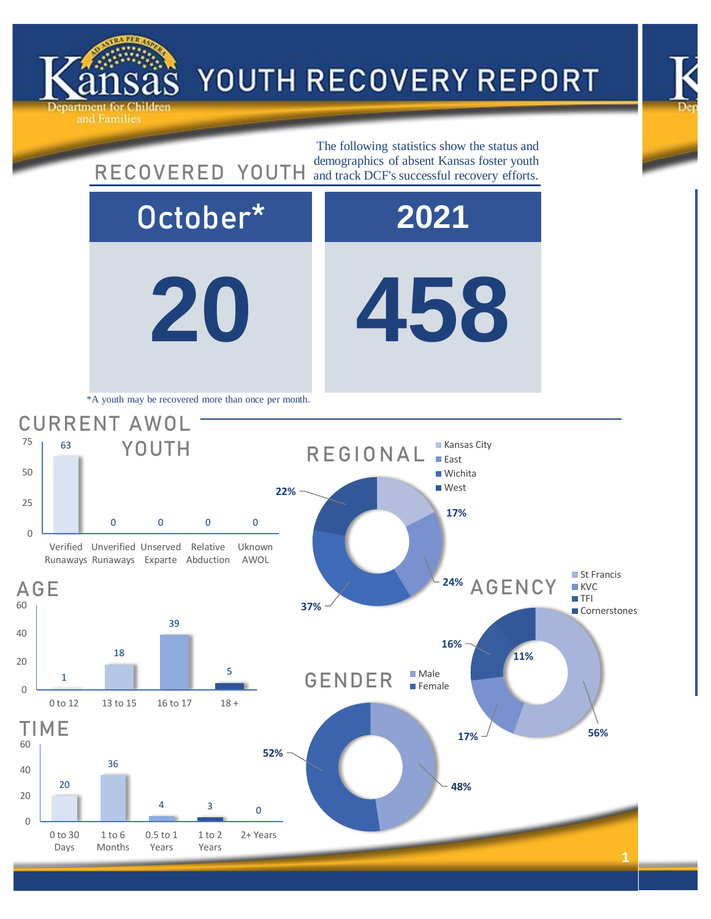